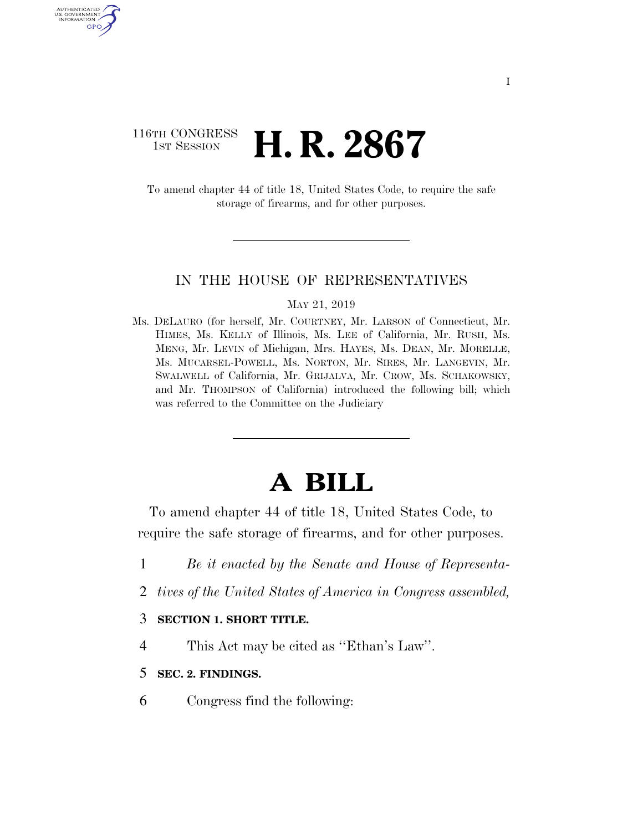### 116TH CONGRESS **1st Session H. R. 2867**

AUTHENTICATED U.S. GOVERNMENT GPO

> To amend chapter 44 of title 18, United States Code, to require the safe storage of firearms, and for other purposes.

#### IN THE HOUSE OF REPRESENTATIVES

#### MAY 21, 2019

Ms. DELAURO (for herself, Mr. COURTNEY, Mr. LARSON of Connecticut, Mr. HIMES, Ms. KELLY of Illinois, Ms. LEE of California, Mr. RUSH, Ms. MENG, Mr. LEVIN of Michigan, Mrs. HAYES, Ms. DEAN, Mr. MORELLE, Ms. MUCARSEL-POWELL, Ms. NORTON, Mr. SIRES, Mr. LANGEVIN, Mr. SWALWELL of California, Mr. GRIJALVA, Mr. CROW, Ms. SCHAKOWSKY, and Mr. THOMPSON of California) introduced the following bill; which was referred to the Committee on the Judiciary

# **A BILL**

To amend chapter 44 of title 18, United States Code, to require the safe storage of firearms, and for other purposes.

- 1 *Be it enacted by the Senate and House of Representa-*
- 2 *tives of the United States of America in Congress assembled,*

#### 3 **SECTION 1. SHORT TITLE.**

- 4 This Act may be cited as ''Ethan's Law''.
- 5 **SEC. 2. FINDINGS.**
- 6 Congress find the following: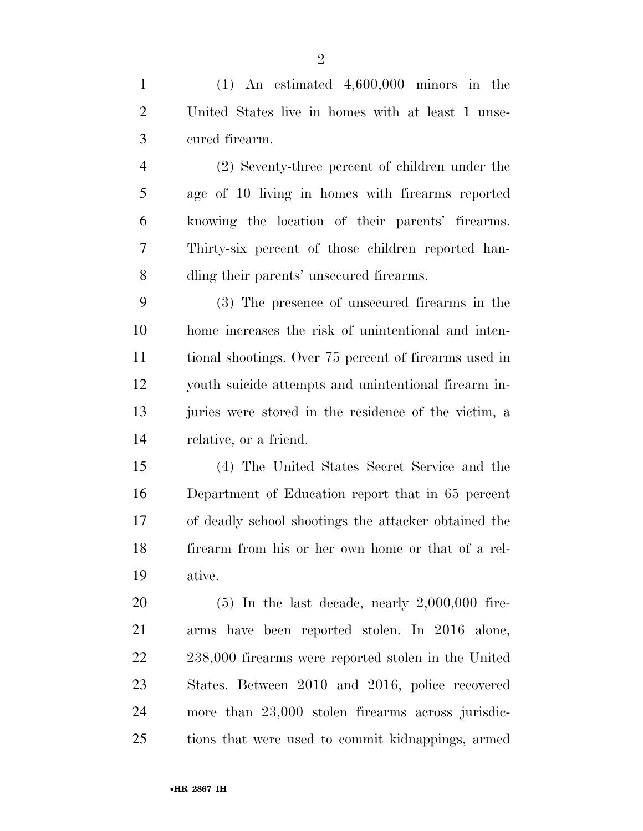(1) An estimated 4,600,000 minors in the United States live in homes with at least 1 unse-cured firearm.

 (2) Seventy-three percent of children under the age of 10 living in homes with firearms reported knowing the location of their parents' firearms. Thirty-six percent of those children reported han-dling their parents' unsecured firearms.

 (3) The presence of unsecured firearms in the home increases the risk of unintentional and inten- tional shootings. Over 75 percent of firearms used in youth suicide attempts and unintentional firearm in- juries were stored in the residence of the victim, a relative, or a friend.

 (4) The United States Secret Service and the Department of Education report that in 65 percent of deadly school shootings the attacker obtained the firearm from his or her own home or that of a rel-ative.

 (5) In the last decade, nearly 2,000,000 fire- arms have been reported stolen. In 2016 alone, 238,000 firearms were reported stolen in the United States. Between 2010 and 2016, police recovered more than 23,000 stolen firearms across jurisdic-tions that were used to commit kidnappings, armed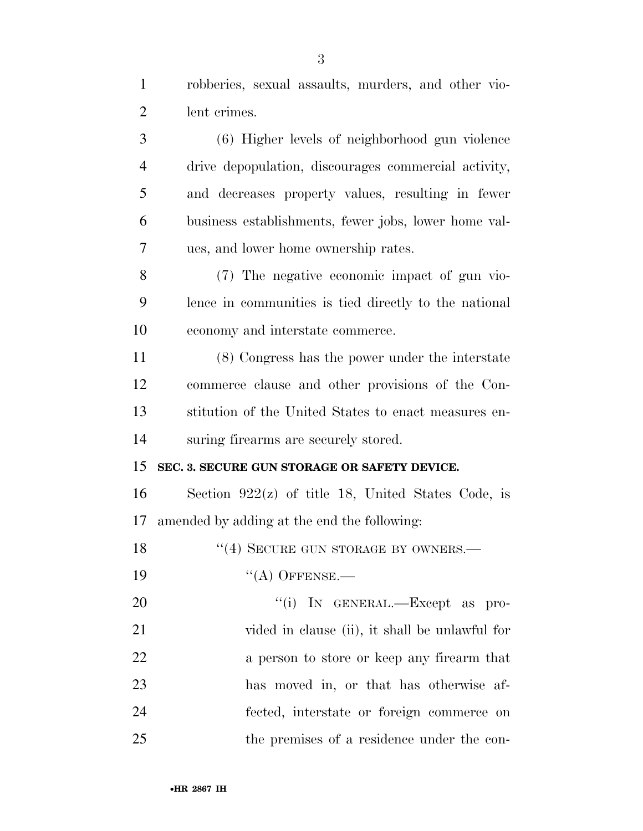robberies, sexual assaults, murders, and other vio-lent crimes.

 (6) Higher levels of neighborhood gun violence drive depopulation, discourages commercial activity, and decreases property values, resulting in fewer business establishments, fewer jobs, lower home val-ues, and lower home ownership rates.

 (7) The negative economic impact of gun vio- lence in communities is tied directly to the national economy and interstate commerce.

 (8) Congress has the power under the interstate commerce clause and other provisions of the Con- stitution of the United States to enact measures en-suring firearms are securely stored.

#### **SEC. 3. SECURE GUN STORAGE OR SAFETY DEVICE.**

 Section 922(z) of title 18, United States Code, is amended by adding at the end the following:

18 "(4) SECURE GUN STORAGE BY OWNERS.—

19 "(A) OFFENSE.—

 $\text{``(i)}$  In GENERAL.—Except as pro- vided in clause (ii), it shall be unlawful for a person to store or keep any firearm that has moved in, or that has otherwise af- fected, interstate or foreign commerce on the premises of a residence under the con-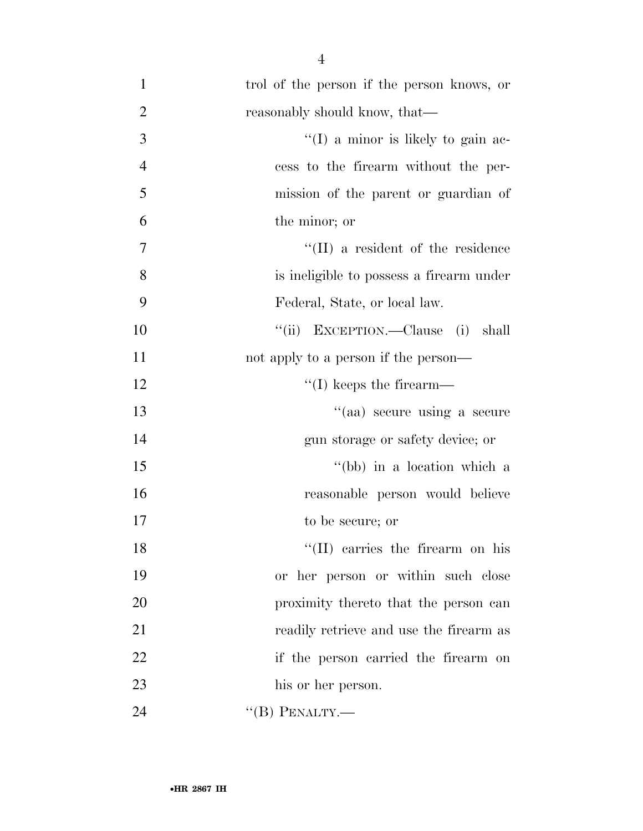| $\mathbf{1}$   | trol of the person if the person knows, or |
|----------------|--------------------------------------------|
| $\overline{2}$ | reasonably should know, that—              |
| $\mathfrak{Z}$ | $\lq(1)$ a minor is likely to gain ac-     |
| $\overline{4}$ | cess to the firearm without the per-       |
| 5              | mission of the parent or guardian of       |
| 6              | the minor; or                              |
| 7              | $\lq\lq$ (II) a resident of the residence  |
| 8              | is ineligible to possess a firearm under   |
| 9              | Federal, State, or local law.              |
| 10             | "(ii) EXCEPTION.—Clause (i)<br>shall       |
| 11             | not apply to a person if the person—       |
| 12             | $\lq\lq$ (I) keeps the firearm—            |
| 13             | "(aa) secure using a secure                |
| 14             | gun storage or safety device; or           |
| 15             | "(bb) in a location which a                |
| 16             | reasonable person would believe            |
| 17             | to be secure; or                           |
| 18             | "(II) carries the firearm on his           |
| 19             | or her person or within such close         |
| 20             | proximity thereto that the person can      |
| 21             | readily retrieve and use the firearm as    |
| 22             | if the person carried the firearm on       |
| 23             | his or her person.                         |
| 24             | $\lq\lq(B)$ PENALTY.—                      |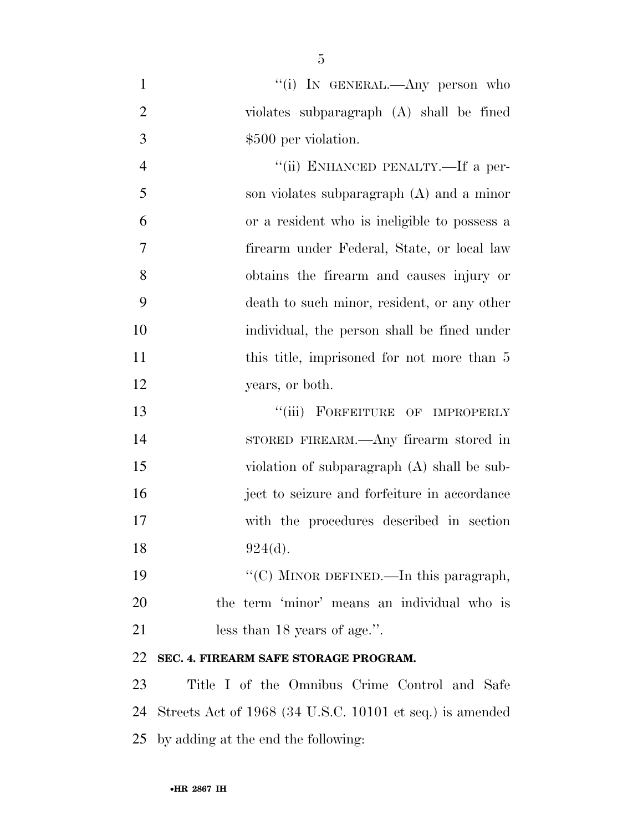| $\mathbf{1}$   | "(i) IN GENERAL.—Any person who                          |
|----------------|----------------------------------------------------------|
| $\overline{2}$ | violates subparagraph (A) shall be fined                 |
| 3              | \$500 per violation.                                     |
| $\overline{4}$ | "(ii) ENHANCED PENALTY.—If a per-                        |
| 5              | son violates subparagraph (A) and a minor                |
| 6              | or a resident who is ineligible to possess a             |
| 7              | firearm under Federal, State, or local law               |
| 8              | obtains the firearm and causes injury or                 |
| 9              | death to such minor, resident, or any other              |
| 10             | individual, the person shall be fined under              |
| 11             | this title, imprisoned for not more than 5               |
| 12             | years, or both.                                          |
| 13             | "(iii) FORFEITURE OF IMPROPERLY                          |
| 14             | STORED FIREARM.—Any firearm stored in                    |
| 15             | violation of subparagraph (A) shall be sub-              |
| 16             | ject to seizure and forfeiture in accordance             |
| 17             | with the procedures described in section                 |
| 18             | 924(d).                                                  |
| 19             | "(C) MINOR DEFINED.—In this paragraph,                   |
| 20             | the term 'minor' means an individual who is              |
| 21             | less than 18 years of age.".                             |
| 22             | SEC. 4. FIREARM SAFE STORAGE PROGRAM.                    |
| 23             | Title I of the Omnibus Crime Control and Safe            |
| 24             | Streets Act of 1968 (34 U.S.C. 10101 et seq.) is amended |
| 25             | by adding at the end the following:                      |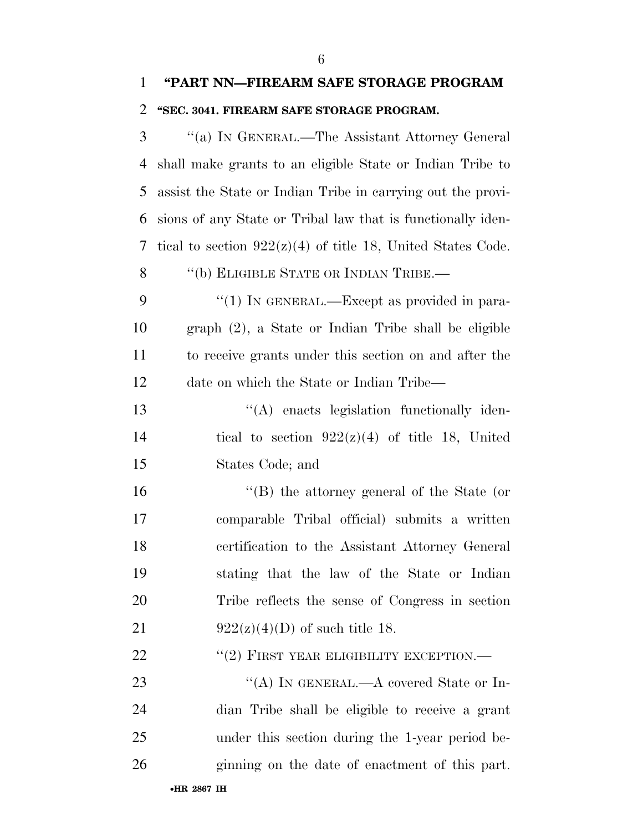## **''PART NN—FIREARM SAFE STORAGE PROGRAM ''SEC. 3041. FIREARM SAFE STORAGE PROGRAM.**

 ''(a) IN GENERAL.—The Assistant Attorney General shall make grants to an eligible State or Indian Tribe to assist the State or Indian Tribe in carrying out the provi- sions of any State or Tribal law that is functionally iden-7 tical to section  $922(z)(4)$  of title 18, United States Code. 8 "(b) ELIGIBLE STATE OR INDIAN TRIBE.— 9 "(1) In GENERAL.—Except as provided in para- graph (2), a State or Indian Tribe shall be eligible to receive grants under this section on and after the date on which the State or Indian Tribe—  $\langle (A)$  enacts legislation functionally iden-14 tical to section  $922(z)(4)$  of title 18, United States Code; and ''(B) the attorney general of the State (or comparable Tribal official) submits a written certification to the Assistant Attorney General stating that the law of the State or Indian Tribe reflects the sense of Congress in section 21 922(z)(4)(D) of such title 18. 22 "(2) FIRST YEAR ELIGIBILITY EXCEPTION.— 23 "(A) IN GENERAL.—A covered State or In- dian Tribe shall be eligible to receive a grant under this section during the 1-year period be-ginning on the date of enactment of this part.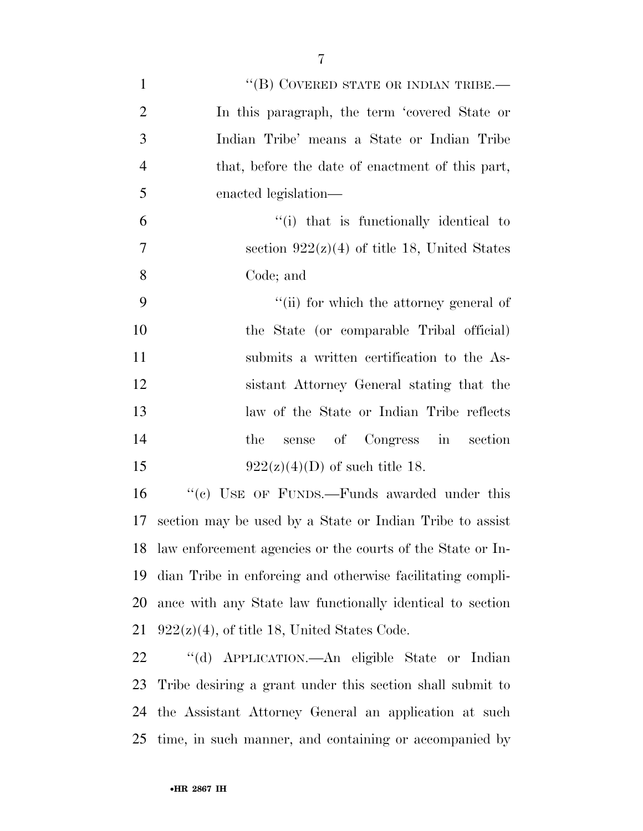| $\mathbf{1}$   | "(B) COVERED STATE OR INDIAN TRIBE.—                          |
|----------------|---------------------------------------------------------------|
| $\overline{2}$ | In this paragraph, the term 'covered State or                 |
| 3              | Indian Tribe' means a State or Indian Tribe                   |
| $\overline{4}$ | that, before the date of enactment of this part,              |
| 5              | enacted legislation—                                          |
| 6              | "(i) that is functionally identical to                        |
| $\overline{7}$ | section $922(z)(4)$ of title 18, United States                |
| 8              | Code; and                                                     |
| 9              | "(ii) for which the attorney general of                       |
| 10             | the State (or comparable Tribal official)                     |
| 11             | submits a written certification to the As-                    |
| 12             | sistant Attorney General stating that the                     |
| 13             | law of the State or Indian Tribe reflects                     |
| 14             | sense of Congress in section<br>the                           |
| 15             | $922(z)(4)(D)$ of such title 18.                              |
| 16             | "(c) USE OF FUNDS.—Funds awarded under this                   |
| 17             | section may be used by a State or Indian Tribe to assist      |
|                | 18 law enforcement agencies or the courts of the State or In- |
| 19             | dian Tribe in enforcing and otherwise facilitating compli-    |
| 20             | ance with any State law functionally identical to section     |
| 21             | $922(z)(4)$ , of title 18, United States Code.                |
| 22             | "(d) APPLICATION.—An eligible State or Indian                 |
|                | 22 This decision a great under this section shall exhaut to   |

 Tribe desiring a grant under this section shall submit to the Assistant Attorney General an application at such time, in such manner, and containing or accompanied by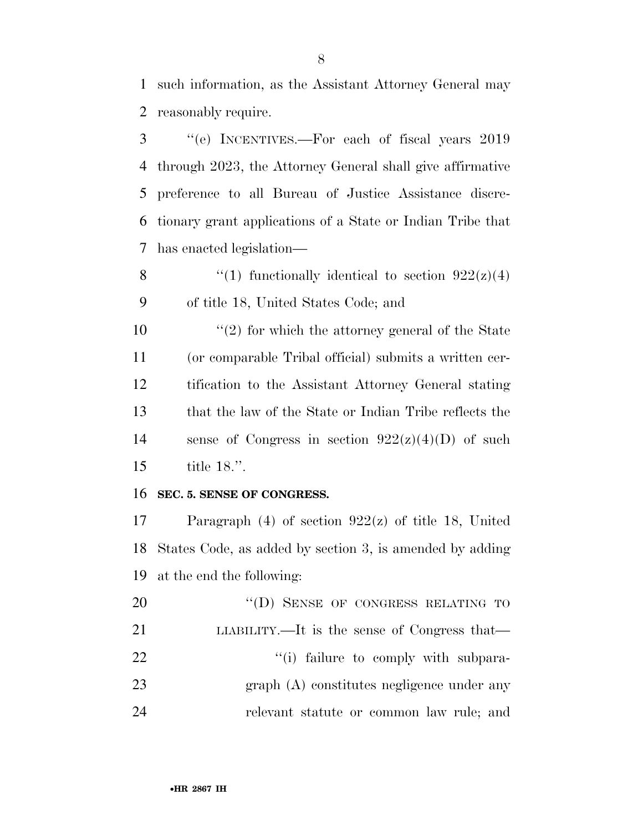such information, as the Assistant Attorney General may reasonably require.

 ''(e) INCENTIVES.—For each of fiscal years 2019 through 2023, the Attorney General shall give affirmative preference to all Bureau of Justice Assistance discre- tionary grant applications of a State or Indian Tribe that has enacted legislation—

8  $\qquad$  (1) functionally identical to section  $922(z)(4)$ of title 18, United States Code; and

 $\frac{10}{2}$  <sup>(2)</sup> for which the attorney general of the State (or comparable Tribal official) submits a written cer- tification to the Assistant Attorney General stating that the law of the State or Indian Tribe reflects the 14 sense of Congress in section  $922(z)(4)(D)$  of such title 18.''.

#### **SEC. 5. SENSE OF CONGRESS.**

 Paragraph (4) of section 922(z) of title 18, United States Code, as added by section 3, is amended by adding at the end the following:

20 "(D) SENSE OF CONGRESS RELATING TO LIABILITY.—It is the sense of Congress that—  $\frac{1}{2}$   $\frac{1}{2}$   $\frac{1}{2}$  failure to comply with subpara- graph (A) constitutes negligence under any relevant statute or common law rule; and